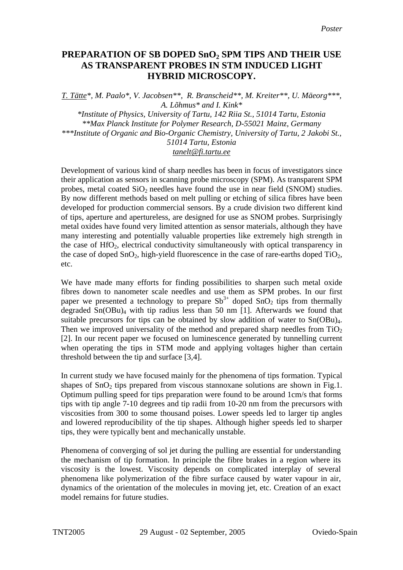## **PREPARATION OF SB DOPED SnO2 SPM TIPS AND THEIR USE AS TRANSPARENT PROBES IN STM INDUCED LIGHT HYBRID MICROSCOPY.**

*T. Tätte\*, M. Paalo\*, V. Jacobsen\*\*, R. Branscheid\*\*, M. Kreiter\*\*, U. Mäeorg\*\*\*, A. Lõhmus\* and I. Kink\* \*Institute of Physics, University of Tartu, 142 Riia St., 51014 Tartu, Estonia \*\*Max Planck Institute for Polymer Research, D-55021 Mainz, Germany \*\*\*Institute of Organic and Bio-Organic Chemistry, University of Tartu, 2 Jakobi St., 51014 Tartu, Estonia tanelt@fi.tartu.ee*

Development of various kind of sharp needles has been in focus of investigators since their application as sensors in scanning probe microscopy (SPM). As transparent SPM probes, metal coated  $SiO<sub>2</sub>$  needles have found the use in near field (SNOM) studies. By now different methods based on melt pulling or etching of silica fibres have been developed for production commercial sensors. By a crude division two different kind of tips, aperture and apertureless, are designed for use as SNOM probes. Surprisingly metal oxides have found very limited attention as sensor materials, although they have many interesting and potentially valuable properties like extremely high strength in the case of  $HfO<sub>2</sub>$ , electrical conductivity simultaneously with optical transparency in the case of doped  $SnO<sub>2</sub>$ , high-yield fluorescence in the case of rare-earths doped  $TiO<sub>2</sub>$ , etc.

We have made many efforts for finding possibilities to sharpen such metal oxide fibres down to nanometer scale needles and use them as SPM probes. In our first paper we presented a technology to prepare  $Sb^{3+}$  doped  $SnO_2$  tips from thermally degraded  $Sn(OBu)<sub>4</sub>$  with tip radius less than 50 nm [1]. Afterwards we found that suitable precursors for tips can be obtained by slow addition of water to  $Sn(OBu)<sub>4</sub>$ . Then we improved universality of the method and prepared sharp needles from  $TiO<sub>2</sub>$ [2]. In our recent paper we focused on luminescence generated by tunnelling current when operating the tips in STM mode and applying voltages higher than certain threshold between the tip and surface [3,4].

In current study we have focused mainly for the phenomena of tips formation. Typical shapes of  $SnO<sub>2</sub>$  tips prepared from viscous stannoxane solutions are shown in Fig.1. Optimum pulling speed for tips preparation were found to be around 1cm/s that forms tips with tip angle 7-10 degrees and tip radii from 10-20 nm from the precursors with viscosities from 300 to some thousand poises. Lower speeds led to larger tip angles and lowered reproducibility of the tip shapes. Although higher speeds led to sharper tips, they were typically bent and mechanically unstable.

Phenomena of converging of sol jet during the pulling are essential for understanding the mechanism of tip formation. In principle the fibre brakes in a region where its viscosity is the lowest. Viscosity depends on complicated interplay of several phenomena like polymerization of the fibre surface caused by water vapour in air, dynamics of the orientation of the molecules in moving jet, etc. Creation of an exact model remains for future studies.